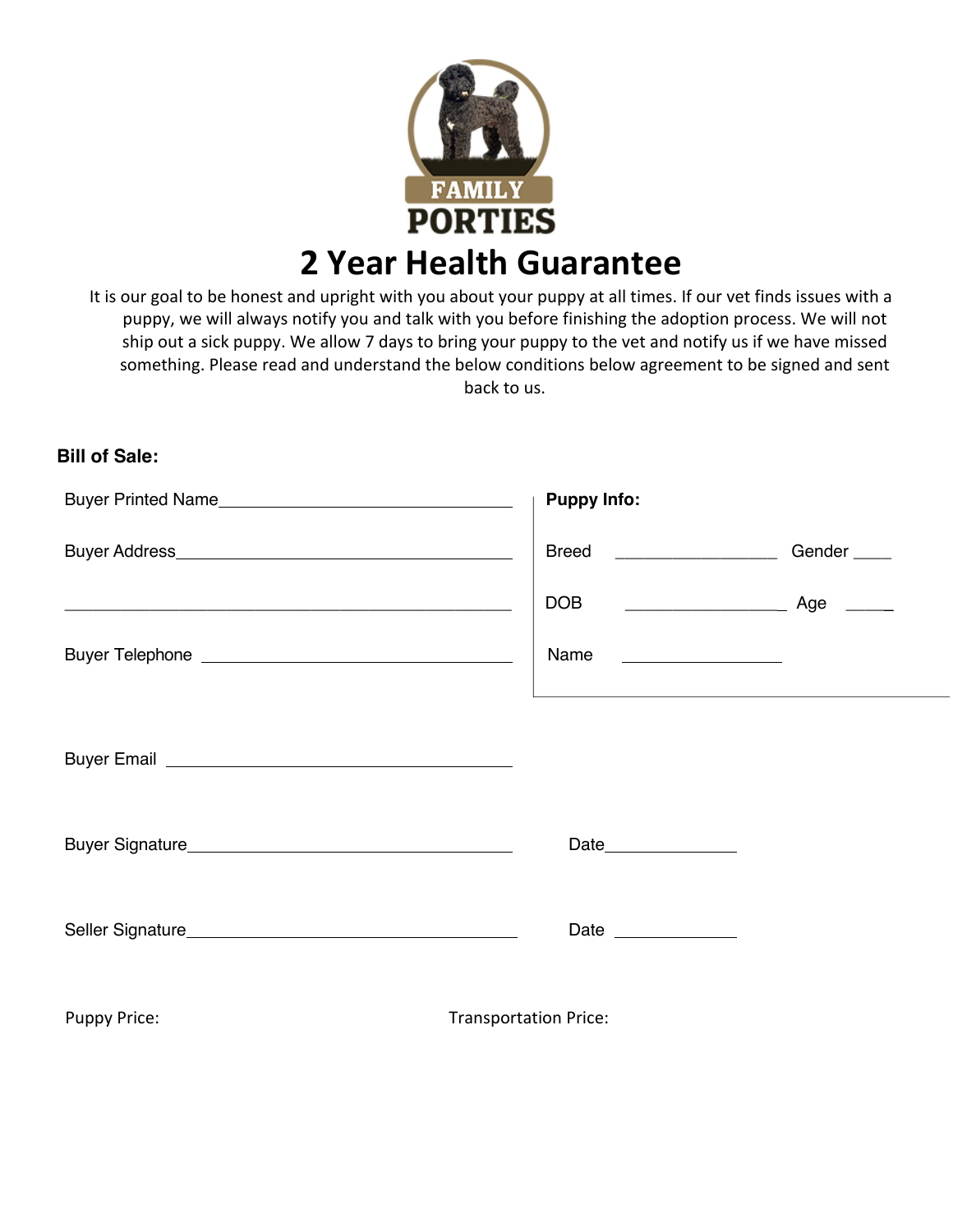

It is our goal to be honest and upright with you about your puppy at all times. If our vet finds issues with a puppy, we will always notify you and talk with you before finishing the adoption process. We will not ship out a sick puppy. We allow 7 days to bring your puppy to the vet and notify us if we have missed something. Please read and understand the below conditions below agreement to be signed and sent back to us.

## **Bill of Sale:**

|                     | <b>Puppy Info:</b>           |                         |
|---------------------|------------------------------|-------------------------|
|                     | Breed ___________________    | Gender <sub>_____</sub> |
|                     |                              |                         |
|                     | Name                         |                         |
|                     |                              |                         |
|                     |                              |                         |
|                     |                              |                         |
|                     | Date ______________          |                         |
| <b>Puppy Price:</b> | <b>Transportation Price:</b> |                         |